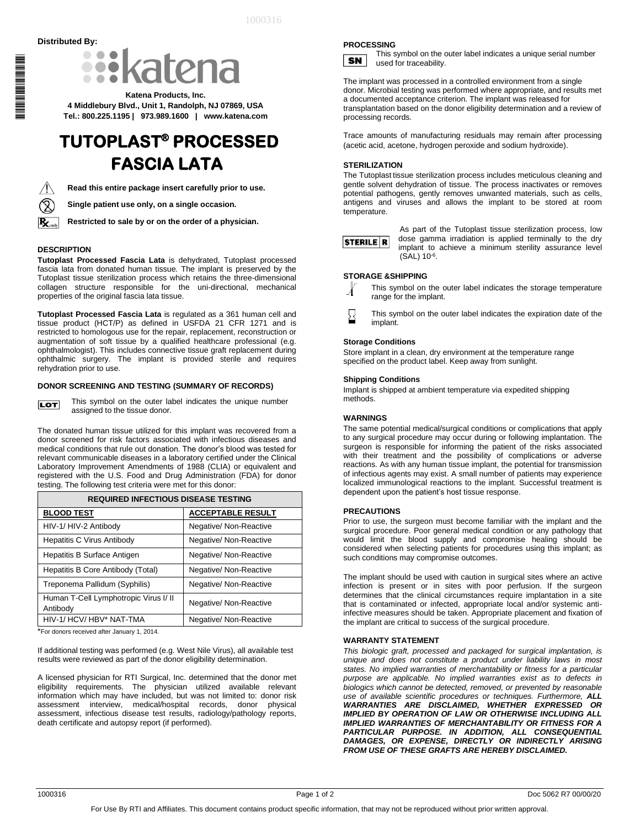

**Katena Products, Inc. 4 Middlebury Blvd., Unit 1, Randolph, NJ 07869, USA Tel.: 800.225.1195 | 973.989.1600 | www.katena.com**

# **TUTOPLAST® PROCESSED FASCIA LATA**



\*1000316\*

IL BILIN AN DIE BILIN AL BILIN AL

**Read this entire package insert carefully prior to use.**

**Single patient use only, on a single occasion.**

**Restricted to sale by or on the order of a physician.**

## **DESCRIPTION**

**Tutoplast Processed Fascia Lata** is dehydrated, Tutoplast processed fascia lata from donated human tissue. The implant is preserved by the Tutoplast tissue sterilization process which retains the three-dimensional collagen structure responsible for the uni-directional, mechanical properties of the original fascia lata tissue.

**Tutoplast Processed Fascia Lata** is regulated as a 361 human cell and tissue product (HCT/P) as defined in USFDA 21 CFR 1271 and is restricted to homologous use for the repair, replacement, reconstruction or augmentation of soft tissue by a qualified healthcare professional (e.g. ophthalmologist). This includes connective tissue graft replacement during ophthalmic surgery. The implant is provided sterile and requires rehydration prior to use.

#### **DONOR SCREENING AND TESTING (SUMMARY OF RECORDS)**

This symbol on the outer label indicates the unique number **LOT** assigned to the tissue donor.

The donated human tissue utilized for this implant was recovered from a donor screened for risk factors associated with infectious diseases and medical conditions that rule out donation. The donor's blood was tested for relevant communicable diseases in a laboratory certified under the Clinical Laboratory Improvement Amendments of 1988 (CLIA) or equivalent and registered with the U.S. Food and Drug Administration (FDA) for donor testing. The following test criteria were met for this donor:

| <b>REQUIRED INFECTIOUS DISEASE TESTING</b>        |                          |  |
|---------------------------------------------------|--------------------------|--|
| <b>BLOOD TEST</b>                                 | <b>ACCEPTABLE RESULT</b> |  |
| HIV-1/ HIV-2 Antibody                             | Negative/ Non-Reactive   |  |
| <b>Hepatitis C Virus Antibody</b>                 | Negative/ Non-Reactive   |  |
| Hepatitis B Surface Antigen                       | Negative/ Non-Reactive   |  |
| Hepatitis B Core Antibody (Total)                 | Negative/ Non-Reactive   |  |
| Treponema Pallidum (Syphilis)                     | Negative/ Non-Reactive   |  |
| Human T-Cell Lymphotropic Virus I/ II<br>Antibody | Negative/ Non-Reactive   |  |
| HIV-1/ HCV/ HBV* NAT-TMA                          | Negative/ Non-Reactive   |  |

\*For donors received after January 1, 2014.

If additional testing was performed (e.g. West Nile Virus), all available test results were reviewed as part of the donor eligibility determination.

A licensed physician for RTI Surgical, Inc. determined that the donor met eligibility requirements. The physician utilized available relevant information which may have included, but was not limited to: donor risk assessment interview, medical/hospital records, donor physical assessment, infectious disease test results, radiology/pathology reports, death certificate and autopsy report (if performed).

#### **PROCESSING**



This symbol on the outer label indicates a unique serial number used for traceability.

The implant was processed in a controlled environment from a single donor. Microbial testing was performed where appropriate, and results met a documented acceptance criterion. The implant was released for transplantation based on the donor eligibility determination and a review of processing records.

Trace amounts of manufacturing residuals may remain after processing (acetic acid, acetone, hydrogen peroxide and sodium hydroxide).

# **STERILIZATION**

The Tutoplast tissue sterilization process includes meticulous cleaning and gentle solvent dehydration of tissue. The process inactivates or removes potential pathogens, gently removes unwanted materials, such as cells, antigens and viruses and allows the implant to be stored at room temperature.



As part of the Tutoplast tissue sterilization process, low dose gamma irradiation is applied terminally to the dry implant to achieve a minimum sterility assurance level  $(SAL) 10^{-6}$ .

## **STORAGE &SHIPPING**

This symbol on the outer label indicates the storage temperature Л range for the implant.

This symbol on the outer label indicates the expiration date of the implant.

# **Storage Conditions**

Store implant in a clean, dry environment at the temperature range specified on the product label. Keep away from sunlight.

#### **Shipping Conditions**

Implant is shipped at ambient temperature via expedited shipping methods.

## **WARNINGS**

The same potential medical/surgical conditions or complications that apply to any surgical procedure may occur during or following implantation. The surgeon is responsible for informing the patient of the risks associated with their treatment and the possibility of complications or adverse reactions. As with any human tissue implant, the potential for transmission of infectious agents may exist. A small number of patients may experience localized immunological reactions to the implant. Successful treatment is dependent upon the patient's host tissue response.

## **PRECAUTIONS**

Prior to use, the surgeon must become familiar with the implant and the surgical procedure. Poor general medical condition or any pathology that would limit the blood supply and compromise healing should be considered when selecting patients for procedures using this implant; as such conditions may compromise outcomes.

The implant should be used with caution in surgical sites where an active infection is present or in sites with poor perfusion. If the surgeon determines that the clinical circumstances require implantation in a site that is contaminated or infected, appropriate local and/or systemic antiinfective measures should be taken. Appropriate placement and fixation of the implant are critical to success of the surgical procedure.

#### **WARRANTY STATEMENT**

*This biologic graft, processed and packaged for surgical implantation, is unique and does not constitute a product under liability laws in most states. No implied warranties of merchantability or fitness for a particular purpose are applicable. No implied warranties exist as to defects in biologics which cannot be detected, removed, or prevented by reasonable use of available scientific procedures or techniques. Furthermore, ALL WARRANTIES ARE DISCLAIMED, WHETHER EXPRESSED OR IMPLIED BY OPERATION OF LAW OR OTHERWISE INCLUDING ALL IMPLIED WARRANTIES OF MERCHANTABILITY OR FITNESS FOR A PARTICULAR PURPOSE. IN ADDITION, ALL CONSEQUENTIAL DAMAGES, OR EXPENSE, DIRECTLY OR INDIRECTLY ARISING FROM USE OF THESE GRAFTS ARE HEREBY DISCLAIMED.*